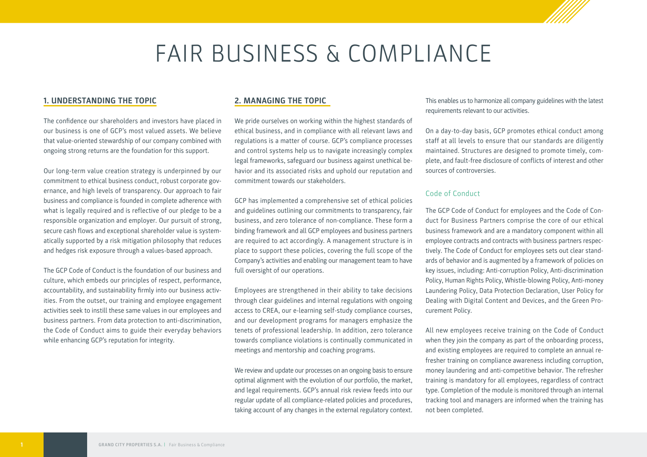# FAIR BUSINESS & COMPLIANCE

### **1. UNDERSTANDING THE TOPIC**

The confidence our shareholders and investors have placed in our business is one of GCP's most valued assets. We believe that value-oriented stewardship of our company combined with ongoing strong returns are the foundation for this support.

Our long-term value creation strategy is underpinned by our commitment to ethical business conduct, robust corporate governance, and high levels of transparency. Our approach to fair business and compliance is founded in complete adherence with what is legally required and is reflective of our pledge to be a responsible organization and employer. Our pursuit of strong, secure cash flows and exceptional shareholder value is systematically supported by a risk mitigation philosophy that reduces and hedges risk exposure through a values-based approach.

The GCP Code of Conduct is the foundation of our business and culture, which embeds our principles of respect, performance, accountability, and sustainability firmly into our business activities. From the outset, our training and employee engagement activities seek to instill these same values in our employees and business partners. From data protection to anti-discrimination, the Code of Conduct aims to guide their everyday behaviors while enhancing GCP's reputation for integrity.

# **2. MANAGING THE TOPIC**

We pride ourselves on working within the highest standards of ethical business, and in compliance with all relevant laws and regulations is a matter of course. GCP's compliance processes and control systems help us to navigate increasingly complex legal frameworks, safeguard our business against unethical behavior and its associated risks and uphold our reputation and commitment towards our stakeholders.

GCP has implemented a comprehensive set of ethical policies and guidelines outlining our commitments to transparency, fair business, and zero tolerance of non-compliance. These form a binding framework and all GCP employees and business partners are required to act accordingly. A management structure is in place to support these policies, covering the full scope of the Company's activities and enabling our management team to have full oversight of our operations.

Employees are strengthened in their ability to take decisions through clear guidelines and internal regulations with ongoing access to CREA, our e-learning self-study compliance courses, and our development programs for managers emphasize the tenets of professional leadership. In addition, zero tolerance towards compliance violations is continually communicated in meetings and mentorship and coaching programs.

We review and update our processes on an ongoing basis to ensure optimal alignment with the evolution of our portfolio, the market, and legal requirements. GCP's annual risk review feeds into our regular update of all compliance-related policies and procedures, taking account of any changes in the external regulatory context.

This enables us to harmonize all company guidelines with the latest requirements relevant to our activities.

On a day-to-day basis, GCP promotes ethical conduct among staff at all levels to ensure that our standards are diligently maintained. Structures are designed to promote timely, complete, and fault-free disclosure of conflicts of interest and other sources of controversies.

#### Code of Conduct

The GCP Code of Conduct for employees and the Code of Conduct for Business Partners comprise the core of our ethical business framework and are a mandatory component within all employee contracts and contracts with business partners respectively. The Code of Conduct for employees sets out clear standards of behavior and is augmented by a framework of policies on key issues, including: Anti-corruption Policy, Anti-discrimination Policy, Human Rights Policy, Whistle-blowing Policy, Anti-money Laundering Policy, Data Protection Declaration, User Policy for Dealing with Digital Content and Devices, and the Green Procurement Policy.

All new employees receive training on the Code of Conduct when they join the company as part of the onboarding process, and existing employees are required to complete an annual refresher training on compliance awareness including corruption, money laundering and anti-competitive behavior. The refresher training is mandatory for all employees, regardless of contract type. Completion of the module is monitored through an internal tracking tool and managers are informed when the training has not been completed.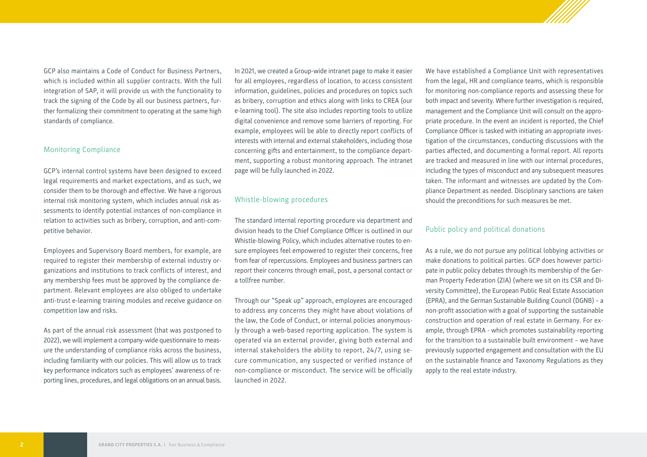GCP also maintains a Code of Conduct for Business Partners, which is included within all supplier contracts. With the full integration of SAP, it will provide us with the functionality to track the signing of the Code by all our business partners, further formalizing their commitment to operating at the same high standards of compliance.

#### Monitoring Compliance

GCP's internal control systems have been designed to exceed legal requirements and market expectations, and as such, we consider them to be thorough and effective. We have a rigorous internal risk monitoring system, which includes annual risk assessments to identify potential instances of non-compliance in relation to activities such as bribery, corruption, and anti-competitive behavior.

Employees and Supervisory Board members, for example, are required to register their membership of external industry organizations and institutions to track conflicts of interest, and any membership fees must be approved by the compliance department. Relevant employees are also obliged to undertake anti-trust e-learning training modules and receive guidance on competition law and risks.

As part of the annual risk assessment (that was postponed to 2022), we will implement a company-wide questionnaire to measure the understanding of compliance risks across the business, including familiarity with our policies. This will allow us to track key performance indicators such as employees' awareness of reporting lines, procedures, and legal obligations on an annual basis. In 2021, we created a Group-wide intranet page to make it easier for all employees, regardless of location, to access consistent information, guidelines, policies and procedures on topics such as bribery, corruption and ethics along with links to CREA (our e-learning tool). The site also includes reporting tools to utilize digital convenience and remove some barriers of reporting. For example, employees will be able to directly report conflicts of interests with internal and external stakeholders, including those concerning gifts and entertainment, to the compliance department, supporting a robust monitoring approach. The intranet page will be fully launched in 2022.

#### Whistle-blowing procedures

The standard internal reporting procedure via department and division heads to the Chief Compliance Officer is outlined in our Whistle-blowing Policy, which includes alternative routes to ensure employees feel empowered to register their concerns, free from fear of repercussions. Employees and business partners can report their concerns through email, post, a personal contact or a tollfree number.

Through our "Speak up" approach, employees are encouraged to address any concerns they might have about violations of the law, the Code of Conduct, or internal policies anonymously through a web-based reporting application. The system is operated via an external provider, giving both external and internal stakeholders the ability to report, 24/7, using secure communication, any suspected or verified instance of non-compliance or misconduct. The service will be officially launched in 2022.

We have established a Compliance Unit with representatives from the legal, HR and compliance teams, which is responsible for monitoring non-compliance reports and assessing these for both impact and severity. Where further investigation is required, management and the Compliance Unit will consult on the appropriate procedure. In the event an incident is reported, the Chief Compliance Officer is tasked with initiating an appropriate investigation of the circumstances, conducting discussions with the parties affected, and documenting a formal report. All reports are tracked and measured in line with our internal procedures, including the types of misconduct and any subsequent measures taken. The informant and witnesses are updated by the Compliance Department as needed. Disciplinary sanctions are taken should the preconditions for such measures be met.

#### Public policy and political donations

As a rule, we do not pursue any political lobbying activities or make donations to political parties. GCP does however participate in public policy debates through its membership of the German Property Federation (ZIA) (where we sit on its CSR and Diversity Committee), the European Public Real Estate Association (EPRA), and the German Sustainable Building Council (DGNB) – a non-profit association with a goal of supporting the sustainable construction and operation of real estate in Germany. For example, through EPRA - which promotes sustainability reporting for the transition to a sustainable built environment – we have previously supported engagement and consultation with the EU on the sustainable finance and Taxonomy Regulations as they apply to the real estate industry.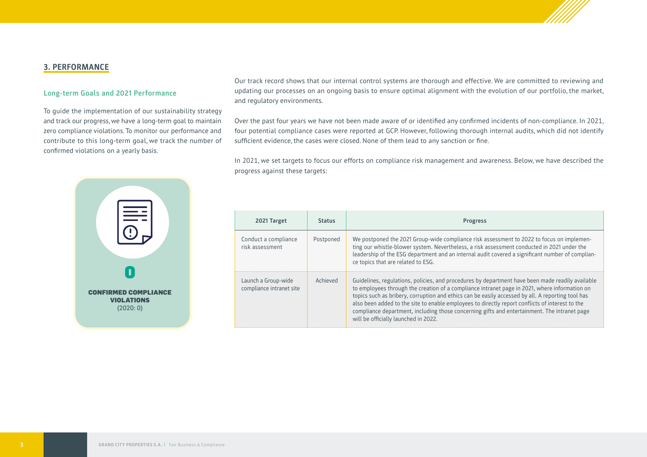

# **3. PERFORMANCE**

#### **Long-term Goals and 2021 Performance**

To guide the implementation of our sustainability strategy and track our progress, we have a long-term goal to maintain zero compliance violations. To monitor our performance and contribute to this long-term goal, we track the number of confirmed violations on a yearly basis.

Our track record shows that our internal control systems are thorough and effective. We are committed to reviewing and updating our processes on an ongoing basis to ensure optimal alignment with the evolution of our portfolio, the market, and regulatory environments.

Over the past four years we have not been made aware of or identified any confirmed incidents of non-compliance. In 2021, four potential compliance cases were reported at GCP. However, following thorough internal audits, which did not identify sufficient evidence, the cases were closed. None of them lead to any sanction or fine.

In 2021, we set targets to focus our efforts on compliance risk management and awareness. Below, we have described the progress against these targets:



| 2021 Target                                     | <b>Status</b> | <b>Progress</b>                                                                                                                                                                                                                                                                                                                                                                                                                                                                                                                                   |  |  |
|-------------------------------------------------|---------------|---------------------------------------------------------------------------------------------------------------------------------------------------------------------------------------------------------------------------------------------------------------------------------------------------------------------------------------------------------------------------------------------------------------------------------------------------------------------------------------------------------------------------------------------------|--|--|
| Conduct a compliance<br>risk assessment         | Postponed     | We postponed the 2021 Group-wide compliance risk assessment to 2022 to focus on implemen-<br>ting our whistle-blower system. Nevertheless, a risk assessment conducted in 2021 under the<br>leadership of the ESG department and an internal audit covered a significant number of complian-<br>ce topics that are related to ESG.                                                                                                                                                                                                                |  |  |
| Launch a Group-wide<br>compliance intranet site | Achieved      | Guidelines, regulations, policies, and procedures by department have been made readily available<br>to employees through the creation of a compliance intranet page in 2021, where information on<br>topics such as bribery, corruption and ethics can be easily accessed by all. A reporting tool has<br>also been added to the site to enable employees to directly report conflicts of interest to the<br>compliance department, including those concerning gifts and entertainment. The intranet page<br>will be officially launched in 2022. |  |  |